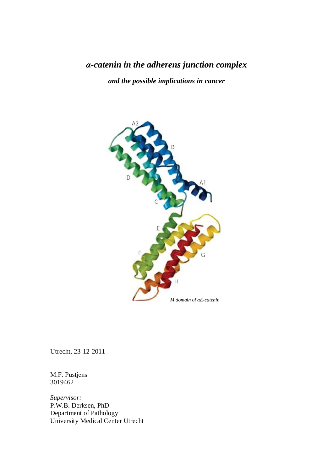# *α-catenin in the adherens junction complex*

*and the possible implications in cancer*



Utrecht, 23-12-2011

M.F. Pustjens 3019462

*Supervisor:* P.W.B. Derksen, PhD Department of Pathology University Medical Center Utrecht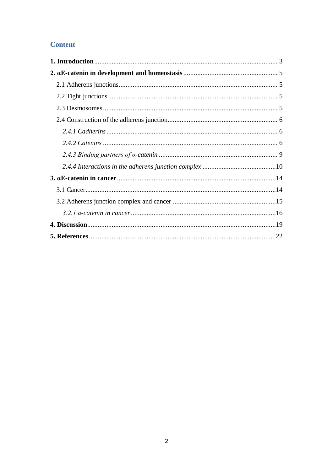# **Content**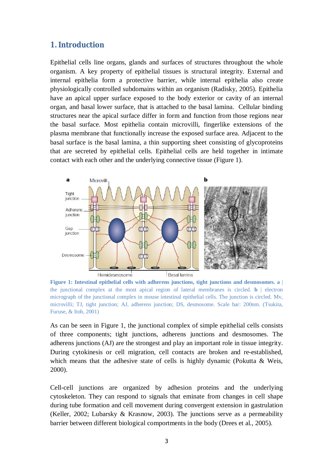### **1. Introduction**

Epithelial cells line organs, glands and surfaces of structures throughout the whole organism. A key property of epithelial tissues is structural integrity. External and internal epithelia form a protective barrier, while internal epithelia also create physiologically controlled subdomains within an organism (Radisky, 2005). Epithelia have an apical upper surface exposed to the body exterior or cavity of an internal organ, and basal lower surface, that is attached to the basal lamina. Cellular binding structures near the apical surface differ in form and function from those regions near the basal surface. Most epithelia contain microvilli, fingerlike extensions of the plasma membrane that functionally increase the exposed surface area. Adjacent to the basal surface is the basal lamina, a thin supporting sheet consisting of glycoproteins that are secreted by epithelial cells. Epithelial cells are held together in intimate contact with each other and the underlying connective tissue (Figure 1).



**Figure 1: Intestinal epithelial cells with adherens junctions, tight junctions and desmosomes. a** | the junctional complex at the most apical region of lateral membranes is circled. **b** | electron micrograph of the junctional complex in mouse intestinal epithelial cells. The junction is circled. Mv, microvilli; TJ, tight junction; AJ, adherens junction; DS, desmosome. Scale bar: 200nm. (Tsukita, Furuse, & Itoh, 2001)

As can be seen in Figure 1, the junctional complex of simple epithelial cells consists of three components; tight junctions, adherens junctions and desmosomes. The adherens junctions (AJ) are the strongest and play an important role in tissue integrity. During cytokinesis or cell migration, cell contacts are broken and re-established, which means that the adhesive state of cells is highly dynamic (Pokutta & Weis, 2000).

Cell-cell junctions are organized by adhesion proteins and the underlying cytoskeleton. They can respond to signals that eminate from changes in cell shape during tube formation and cell movement during convergent extension in gastrulation (Keller, 2002; Lubarsky & Krasnow, 2003). The junctions serve as a permeability barrier between different biological comportments in the body (Drees et al., 2005).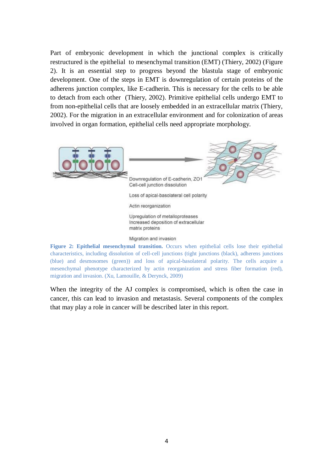Part of embryonic development in which the junctional complex is critically restructured is the epithelial to mesenchymal transition (EMT) (Thiery, 2002) (Figure 2). It is an essential step to progress beyond the blastula stage of embryonic development. One of the steps in EMT is downregulation of certain proteins of the adherens junction complex, like E-cadherin. This is necessary for the cells to be able to detach from each other (Thiery, 2002). Primitive epithelial cells undergo EMT to from non-epithelial cells that are loosely embedded in an extracellular matrix (Thiery, 2002). For the migration in an extracellular environment and for colonization of areas involved in organ formation, epithelial cells need appropriate morphology.



**Figure 2: Epithelial mesenchymal transition.** Occurs when epithelial cells lose their epithelial characteristics, including dissolution of cell-cell junctions (tight junctions (black), adherens junctions (blue) and desmosomes (green)) and loss of apical-basolateral polarity. The cells acquire a mesenchymal phenotype characterized by actin reorganization and stress fiber formation (red), migration and invasion. (Xu, Lamouille, & Derynck, 2009)

When the integrity of the AJ complex is compromised, which is often the case in cancer, this can lead to invasion and metastasis. Several components of the complex that may play a role in cancer will be described later in this report.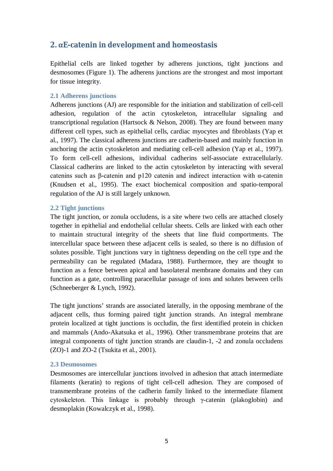## **2. αE-catenin in development and homeostasis**

Epithelial cells are linked together by adherens junctions, tight junctions and desmosomes (Figure 1). The adherens junctions are the strongest and most important for tissue integrity.

#### **2.1 Adherens junctions**

Adherens junctions (AJ) are responsible for the initiation and stabilization of cell-cell adhesion, regulation of the actin cytoskeleton, intracellular signaling and transcriptional regulation (Hartsock & Nelson, 2008). They are found between many different cell types, such as epithelial cells, cardiac myocytes and fibroblasts (Yap et al., 1997). The classical adherens junctions are cadherin-based and mainly function in anchoring the actin cytoskeleton and mediating cell-cell adhesion (Yap et al., 1997). To form cell-cell adhesions, individual cadherins self-associate extracellularly. Classical cadherins are linked to the actin cytoskeleton by interacting with several catenins such as β-catenin and p120 catenin and indirect interaction with α-catenin (Knudsen et al., 1995). The exact biochemical composition and spatio-temporal regulation of the AJ is still largely unknown.

#### **2.2 Tight junctions**

The tight junction, or zonula occludens, is a site where two cells are attached closely together in epithelial and endothelial cellular sheets. Cells are linked with each other to maintain structural integrity of the sheets that line fluid comportments. The intercellular space between these adjacent cells is sealed, so there is no diffusion of solutes possible. Tight junctions vary in tightness depending on the cell type and the permeability can be regulated (Madara, 1988). Furthermore, they are thought to function as a fence between apical and basolateral membrane domains and they can function as a gate, controlling paracellular passage of ions and solutes between cells (Schneeberger & Lynch, 1992).

The tight junctions' strands are associated laterally, in the opposing membrane of the adjacent cells, thus forming paired tight junction strands. An integral membrane protein localized at tight junctions is occludin, the first identified protein in chicken and mammals (Ando-Akatsuka et al., 1996). Other transmembrane proteins that are integral components of tight junction strands are claudin-1, -2 and zonula occludens (ZO)-1 and ZO-2 (Tsukita et al., 2001).

#### **2.3 Desmosomes**

Desmosomes are intercellular junctions involved in adhesion that attach intermediate filaments (keratin) to regions of tight cell-cell adhesion. They are composed of transmembrane proteins of the cadherin family linked to the intermediate filament cytoskeleton. This linkage is probably through γ-catenin (plakoglobin) and desmoplakin (Kowalczyk et al., 1998).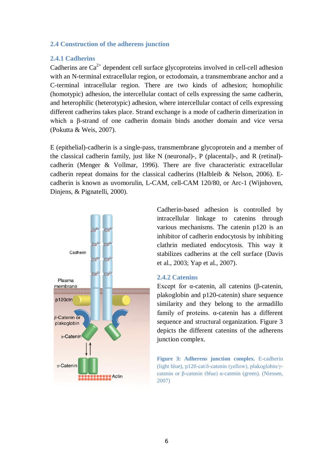#### **2.4 Construction of the adherens junction**

#### **2.4.1 Cadherins**

Cadherins are  $Ca^{2+}$  dependent cell surface glycoproteins involved in cell-cell adhesion with an N-terminal extracellular region, or ectodomain, a transmembrane anchor and a C-terminal intracellular region. There are two kinds of adhesion; homophilic (homotypic) adhesion, the intercellular contact of cells expressing the same cadherin, and heterophilic (heterotypic) adhesion, where intercellular contact of cells expressing different cadherins takes place. Strand exchange is a mode of cadherin dimerization in which a β-strand of one cadherin domain binds another domain and vice versa (Pokutta & Weis, 2007).

E (epithelial)-cadherin is a single-pass, transmembrane glycoprotein and a member of the classical cadherin family, just like N (neuronal)-, P (placental)-, and R (retinal) cadherin (Menger & Vollmar, 1996). There are five characteristic extracellular cadherin repeat domains for the classical cadherins (Halbleib & Nelson, 2006). Ecadherin is known as uvomorulin, L-CAM, cell-CAM 120/80, or Arc-1 (Wijnhoven, Dinjens, & Pignatelli, 2000).



Cadherin-based adhesion is controlled by intracellular linkage to catenins through various mechanisms. The catenin p120 is an inhibitor of cadherin endocytosis by inhibiting clathrin mediated endocytosis. This way it stabilizes cadherins at the cell surface (Davis et al., 2003; Yap et al., 2007).

#### **2.4.2 Catenins**

Except for α-catenin, all catenins (β-catenin, plakoglobin and p120-catenin) share sequence similarity and they belong to the armadillo family of proteins. α-catenin has a different sequence and structural organization. Figure 3 depicts the different catenins of the adherens junction complex.

**Figure 3: Adherens junction complex.** E-cadherin (light blue), p120-cat/δ-catenin (yellow), plakoglobin/γcatenin or β-catenin (blue) α-catenin (green). (Niessen, 2007)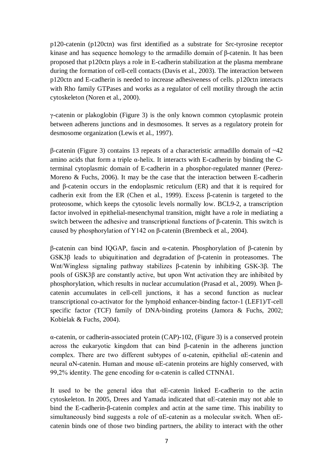p120-catenin (p120ctn) was first identified as a substrate for Src-tyrosine receptor kinase and has sequence homology to the armadillo domain of β-catenin. It has been proposed that p120ctn plays a role in E-cadherin stabilization at the plasma membrane during the formation of cell-cell contacts (Davis et al., 2003). The interaction between p120ctn and E-cadherin is needed to increase adhesiveness of cells. p120ctn interacts with Rho family GTPases and works as a regulator of cell motility through the actin cytoskeleton (Noren et al., 2000).

γ-catenin or plakoglobin (Figure 3) is the only known common cytoplasmic protein between adherens junctions and in desmosomes. It serves as a regulatory protein for desmosome organization (Lewis et al., 1997).

β-catenin (Figure 3) contains 13 repeats of a characteristic armadillo domain of ~42 amino acids that form a triple  $\alpha$ -helix. It interacts with E-cadherin by binding the Cterminal cytoplasmic domain of E-cadherin in a phosphor-regulated manner (Perez-Moreno & Fuchs, 2006). It may be the case that the interaction between E-cadherin and β-catenin occurs in the endoplasmic reticulum (ER) and that it is required for cadherin exit from the ER (Chen et al., 1999). Excess β-catenin is targeted to the proteosome, which keeps the cytosolic levels normally low. BCL9-2, a transcription factor involved in epithelial-mesenchymal transition, might have a role in mediating a switch between the adhesive and transcriptional functions of β-catenin. This switch is caused by phosphorylation of Y142 on β-catenin (Brembeck et al., 2004).

β-catenin can bind IQGAP, fascin and α-catenin. Phosphorylation of β-catenin by GSK3β leads to ubiquitination and degradation of β-catenin in proteasomes. The Wnt/Wingless signaling pathway stabilizes β-catenin by inhibiting GSK-3β. The pools of GSK3β are constantly active, but upon Wnt activation they are inhibited by phosphorylation, which results in nuclear accumulation (Prasad et al., 2009). When βcatenin accumulates in cell-cell junctions, it has a second function as nuclear transcriptional co-activator for the lymphoid enhancer-binding factor-1 (LEF1)/T-cell specific factor (TCF) family of DNA-binding proteins (Jamora & Fuchs, 2002; Kobielak & Fuchs, 2004).

 $\alpha$ -catenin, or cadherin-associated protein (CAP)-102, (Figure 3) is a conserved protein across the eukaryotic kingdom that can bind β-catenin in the adherens junction complex. There are two different subtypes of  $\alpha$ -catenin, epithelial  $\alpha$ E-catenin and neural αN-catenin. Human and mouse αE-catenin proteins are highly conserved, with 99,2% identity. The gene encoding for α-catenin is called CTNNA1.

It used to be the general idea that  $\alpha$ E-catenin linked E-cadherin to the actin cytoskeleton. In 2005, Drees and Yamada indicated that αE-catenin may not able to bind the E-cadherin-β-catenin complex and actin at the same time. This inability to simultaneously bind suggests a role of  $\alpha$ E-catenin as a molecular switch. When  $\alpha$ Ecatenin binds one of those two binding partners, the ability to interact with the other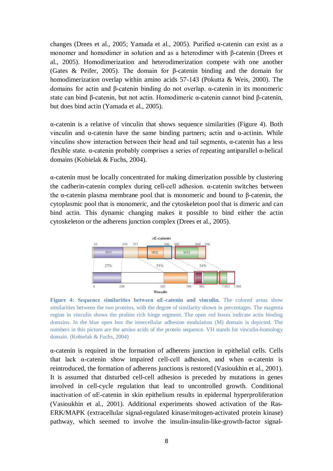changes (Drees et al., 2005; Yamada et al., 2005). Purified α-catenin can exist as a monomer and homodimer in solution and as a heterodimer with β-catenin (Drees et al., 2005). Homodimerization and heterodimerization compete with one another (Gates & Peifer, 2005). The domain for β-catenin binding and the domain for homodimerization overlap within amino acids 57-143 (Pokutta & Weis, 2000). The domains for actin and β-catenin binding do not overlap. α-catenin in its monomeric state can bind β-catenin, but not actin. Homodimeric α-catenin cannot bind β-catenin, but does bind actin (Yamada et al., 2005).

α-catenin is a relative of vinculin that shows sequence similarities (Figure 4). Both vinculin and α-catenin have the same binding partners; actin and α-actinin. While vinculins show interaction between their head and tail segments, α-catenin has a less flexible state. α-catenin probably comprises a series of repeating antiparallel α-helical domains (Kobielak & Fuchs, 2004).

α-catenin must be locally concentrated for making dimerization possible by clustering the cadherin-catenin complex during cell-cell adhesion. α-catenin switches between the α-catenin plasma membrane pool that is monomeric and bound to β-catenin, the cytoplasmic pool that is monomeric, and the cytoskeleton pool that is dimeric and can bind actin. This dynamic changing makes it possible to bind either the actin cytoskeleton or the adherens junction complex (Drees et al., 2005).



**Figure 4: Sequence similarities between αE-catenin and vinculin.** The colored areas show similarities between the two proteins, with the degree of similarity shown in percentages. The magenta region in vinculin shows the proline rich hinge segment. The open red boxes indicate actin binding domains. In the blue open box the intercellular adhesion modulation (M) domain is depicted. The numbers in this picture are the amino acids of the protein sequence. VH stands for vinculin-homology domain. (Kobielak & Fuchs, 2004)

α-catenin is required in the formation of adherens junction in epithelial cells. Cells that lack  $\alpha$ -catenin show impaired cell-cell adhesion, and when  $\alpha$ -catenin is reintroduced, the formation of adherens junctions is restored (Vasioukhin et al., 2001). It is assumed that disturbed cell-cell adhesion is preceded by mutations in genes involved in cell-cycle regulation that lead to uncontrolled growth. Conditional inactivation of αE-catenin in skin epithelium results in epidermal hyperproliferation (Vasioukhin et al., 2001). Additional experiments showed activation of the Ras-ERK/MAPK (extracellular signal-regulated kinase/mitogen-activated protein kinase) pathway, which seemed to involve the insulin-insulin-like-growth-factor signal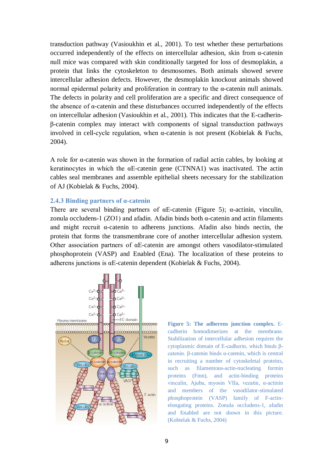transduction pathway (Vasioukhin et al., 2001). To test whether these perturbations occurred independently of the effects on intercellular adhesion, skin from α-catenin null mice was compared with skin conditionally targeted for loss of desmoplakin, a protein that links the cytoskeleton to desmosomes. Both animals showed severe intercellular adhesion defects. However, the desmoplakin knockout animals showed normal epidermal polarity and proliferation in contrary to the α-catenin null animals. The defects in polarity and cell proliferation are a specific and direct consequence of the absence of α-catenin and these disturbances occurred independently of the effects on intercellular adhesion (Vasioukhin et al., 2001). This indicates that the E-cadherinβ-catenin complex may interact with components of signal transduction pathways involved in cell-cycle regulation, when  $\alpha$ -catenin is not present (Kobielak & Fuchs, 2004).

A role for α-catenin was shown in the formation of radial actin cables, by looking at keratinocytes in which the  $\alpha$ E-catenin gene (CTNNA1) was inactivated. The actin cables seal membranes and assemble epithelial sheets necessary for the stabilization of AJ (Kobielak & Fuchs, 2004).

#### **2.4.3 Binding partners of α-catenin**

There are several binding partners of  $\alpha$ E-catenin (Figure 5);  $\alpha$ -actinin, vinculin, zonula occludens-1 (ZO1) and afadin. Afadin binds both  $\alpha$ -catenin and actin filaments and might recruit α-catenin to adherens junctions. Afadin also binds nectin, the protein that forms the transmembrane core of another intercellular adhesion system. Other association partners of αE-catenin are amongst others vasodilator-stimulated phosphoprotein (VASP) and Enabled (Ena). The localization of these proteins to adherens junctions is αE-catenin dependent (Kobielak & Fuchs, 2004).



**Figure 5: The adherens junction complex.** Ecadherin homodimerizes at the membrane. Stabilization of intercellular adhesion requires the cytoplasmic domain of E-cadherin, which binds βcatenin. β-catenin binds α-catenin, which is central in recruiting a number of cytoskeletal proteins, such as filamentous-actin-nucleating formin proteins (Fmn), and actin-binding proteins vinculin, Ajuba, myosin VIIa, vezatin, α-actinin and members of the vasodilator-stimulated phosphoprotein (VASP) family of F-actinelongating proteins. Zonula occludens-1, afadin and Enabled are not shown in this picture. (Kobielak & Fuchs, 2004)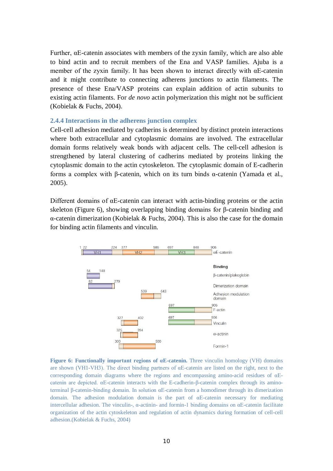Further, αE-catenin associates with members of the zyxin family, which are also able to bind actin and to recruit members of the Ena and VASP families. Ajuba is a member of the zyxin family. It has been shown to interact directly with  $\alpha E$ -catenin and it might contribute to connecting adherens junctions to actin filaments. The presence of these Ena/VASP proteins can explain addition of actin subunits to existing actin filaments. For *de novo* actin polymerization this might not be sufficient (Kobielak & Fuchs, 2004).

#### **2.4.4 Interactions in the adherens junction complex**

Cell-cell adhesion mediated by cadherins is determined by distinct protein interactions where both extracellular and cytoplasmic domains are involved. The extracellular domain forms relatively weak bonds with adjacent cells. The cell-cell adhesion is strengthened by lateral clustering of cadherins mediated by proteins linking the cytoplasmic domain to the actin cytoskeleton. The cytoplasmic domain of E-cadherin forms a complex with β-catenin, which on its turn binds α-catenin (Yamada et al., 2005).

Different domains of αE-catenin can interact with actin-binding proteins or the actin skeleton (Figure 6), showing overlapping binding domains for β-catenin binding and α-catenin dimerization (Kobielak & Fuchs, 2004). This is also the case for the domain for binding actin filaments and vinculin.



**Figure 6: Functionally important regions of αE-catenin.** Three vinculin homology (VH) domains are shown (VH1-VH3). The direct binding partners of αE-catenin are listed on the right, next to the corresponding domain diagrams where the regions and encompassing amino-acid residues of  $\alpha$ Ecatenin are depicted. αE-catenin interacts with the E-cadherin-β-catenin complex through its aminoterminal β-catenin-binding domain. In solution αE-catenin from a homodimer through its dimerization domain. The adhesion modulation domain is the part of αE-catenin necessary for mediating intercellular adhesion. The vinculin-, α-actinin- and formin-1 binding domains on αE-catenin facilitate organization of the actin cytoskeleton and regulation of actin dynamics during formation of cell-cell adhesion.(Kobielak & Fuchs, 2004)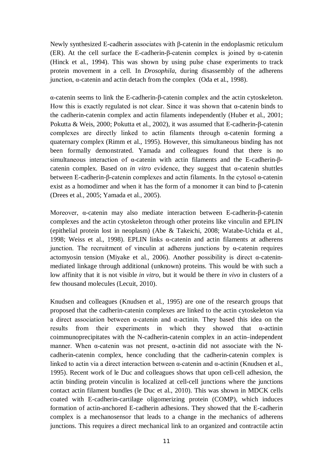Newly synthesized E-cadherin associates with β-catenin in the endoplasmic reticulum (ER). At the cell surface the E-cadherin-β-catenin complex is joined by  $\alpha$ -catenin (Hinck et al., 1994). This was shown by using pulse chase experiments to track protein movement in a cell. In *Drosophila*, during disassembly of the adherens junction, α-catenin and actin detach from the complex (Oda et al., 1998).

α-catenin seems to link the E-cadherin-β-catenin complex and the actin cytoskeleton. How this is exactly regulated is not clear. Since it was shown that  $\alpha$ -catenin binds to the cadherin-catenin complex and actin filaments independently (Huber et al., 2001; Pokutta & Weis, 2000; Pokutta et al., 2002), it was assumed that E-cadherin-β-catenin complexes are directly linked to actin filaments through  $\alpha$ -catenin forming a quaternary complex (Rimm et al., 1995). However, this simultaneous binding has not been formally demonstrated. Yamada and colleagues found that there is no simultaneous interaction of α-catenin with actin filaments and the E-cadherin-βcatenin complex. Based on *in vitro* evidence, they suggest that α-catenin shuttles between E-cadherin-β-catenin complexes and actin filaments. In the cytosol α-catenin exist as a homodimer and when it has the form of a monomer it can bind to β-catenin (Drees et al., 2005; Yamada et al., 2005).

Moreover, α-catenin may also mediate interaction between E-cadherin-β-catenin complexes and the actin cytoskeleton through other proteins like vinculin and EPLIN (epithelial protein lost in neoplasm) (Abe & Takeichi, 2008; Watabe-Uchida et al., 1998; Weiss et al., 1998). EPLIN links α-catenin and actin filaments at adherens junction. The recruitment of vinculin at adherens junctions by α-catenin requires actomyosin tension (Miyake et al., 2006). Another possibility is direct α-cateninmediated linkage through additional (unknown) proteins. This would be with such a low affinity that it is not visible *in vitro*, but it would be there *in vivo* in clusters of a few thousand molecules (Lecuit, 2010).

Knudsen and colleagues (Knudsen et al., 1995) are one of the research groups that proposed that the cadherin-catenin complexes are linked to the actin cytoskeleton via a direct association between α-catenin and α-actinin. They based this idea on the results from their experiments in which they showed that α-actinin coimmunoprecipitates with the N-cadherin-catenin complex in an actin–independent manner. When α-catenin was not present, α-actinin did not associate with the Ncadherin-catenin complex, hence concluding that the cadherin-catenin complex is linked to actin via a direct interaction between α-catenin and α-actinin (Knudsen et al., 1995). Recent work of le Duc and colleagues shows that upon cell-cell adhesion, the actin binding protein vinculin is localized at cell-cell junctions where the junctions contact actin filament bundles (le Duc et al., 2010). This was shown in MDCK cells coated with E-cadherin-cartilage oligomerizing protein (COMP), which induces formation of actin-anchored E-cadherin adhesions. They showed that the E-cadherin complex is a mechanosensor that leads to a change in the mechanics of adherens junctions. This requires a direct mechanical link to an organized and contractile actin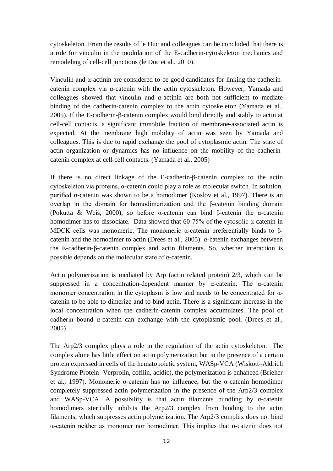cytoskeleton. From the results of le Duc and colleagues can be concluded that there is a role for vinculin in the modulation of the E-cadherin-cytoskeleton mechanics and remodeling of cell-cell junctions (le Duc et al., 2010).

Vinculin and α-actinin are considered to be good candidates for linking the cadherincatenin complex via α-catenin with the actin cytoskeleton. However, Yamada and colleagues showed that vinculin and  $\alpha$ -actinin are both not sufficient to mediate binding of the cadherin-catenin complex to the actin cytoskeleton (Yamada et al., 2005). If the E-cadherin-β-catenin complex would bind directly and stably to actin at cell-cell contacts, a significant immobile fraction of membrane-associated actin is expected. At the membrane high mobility of actin was seen by Yamada and colleagues. This is due to rapid exchange the pool of cytoplasmic actin. The state of actin organization or dynamics has no influence on the mobility of the cadherincatenin complex at cell-cell contacts. (Yamada et al., 2005)

If there is no direct linkage of the E-cadherin-β-catenin complex to the actin cytoskeleton via proteins, α-catenin could play a role as molecular switch. In solution, purified α-catenin was shown to be a homodimer (Koslov et al., 1997). There is an overlap in the domain for homodimerization and the β-catenin binding domain (Pokutta & Weis, 2000), so before  $\alpha$ -catenin can bind β-catenin the  $\alpha$ -catenin homodimer has to dissociate. Data showed that 60-75% of the cytosolic α-catenin in MDCK cells was monomeric. The monomeric  $\alpha$ -catenin preferentially binds to βcatenin and the homodimer to actin (Drees et al., 2005). α-catenin exchanges between the E-cadherin-β-catenin complex and actin filaments. So, whether interaction is possible depends on the molecular state of  $\alpha$ -catenin.

Actin polymerization is mediated by Arp (actin related protein) 2/3, which can be suppressed in a concentration-dependent manner by  $\alpha$ -catenin. The  $\alpha$ -catenin monomer concentration in the cytoplasm is low and needs to be concentrated for αcatenin to be able to dimerize and to bind actin. There is a significant increase in the local concentration when the cadherin-catenin complex accumulates. The pool of cadherin bound α-catenin can exchange with the cytoplasmic pool. (Drees et al., 2005)

The Arp2/3 complex plays a role in the regulation of the actin cytoskeleton. The complex alone has little effect on actin polymerization but in the presence of a certain protein expressed in cells of the hematopoietic system, WASp-VCA (Wiskott–Aldrich Syndrome Protein -Verprolin, cofilin, acidic), the polymerization is enhanced (Brieher et al., 1997). Monomeric α-catenin has no influence, but the α-catenin homodimer completely suppressed actin polymerization in the presence of the Arp2/3 complex and WASp-VCA. A possibility is that actin filaments bundling by  $\alpha$ -catenin homodimers sterically inhibits the Arp2/3 complex from binding to the actin filaments, which suppresses actin polymerization. The Arp2/3 complex does not bind α-catenin neither as monomer nor homodimer. This implies that α-catenin does not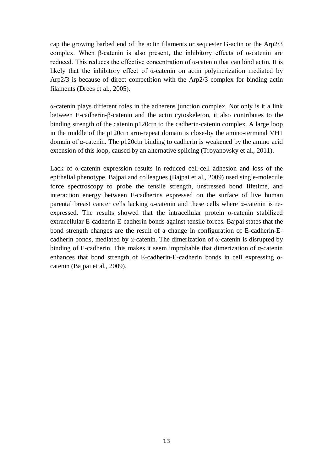cap the growing barbed end of the actin filaments or sequester G-actin or the Arp2/3 complex. When β-catenin is also present, the inhibitory effects of  $\alpha$ -catenin are reduced. This reduces the effective concentration of α-catenin that can bind actin. It is likely that the inhibitory effect of α-catenin on actin polymerization mediated by Arp2/3 is because of direct competition with the Arp2/3 complex for binding actin filaments (Drees et al., 2005).

α-catenin plays different roles in the adherens junction complex. Not only is it a link between E-cadherin-β-catenin and the actin cytoskeleton, it also contributes to the binding strength of the catenin p120ctn to the cadherin-catenin complex. A large loop in the middle of the p120ctn arm-repeat domain is close-by the amino-terminal VH1 domain of α-catenin. The p120ctn binding to cadherin is weakened by the amino acid extension of this loop, caused by an alternative splicing (Troyanovsky et al., 2011).

Lack of α-catenin expression results in reduced cell-cell adhesion and loss of the epithelial phenotype. Bajpai and colleagues (Bajpai et al., 2009) used single-molecule force spectroscopy to probe the tensile strength, unstressed bond lifetime, and interaction energy between E-cadherins expressed on the surface of live human parental breast cancer cells lacking α-catenin and these cells where α-catenin is reexpressed. The results showed that the intracellular protein  $\alpha$ -catenin stabilized extracellular E-cadherin-E-cadherin bonds against tensile forces. Bajpai states that the bond strength changes are the result of a change in configuration of E-cadherin-Ecadherin bonds, mediated by α-catenin. The dimerization of α-catenin is disrupted by binding of E-cadherin. This makes it seem improbable that dimerization of  $\alpha$ -catenin enhances that bond strength of E-cadherin-E-cadherin bonds in cell expressing αcatenin (Bajpai et al., 2009).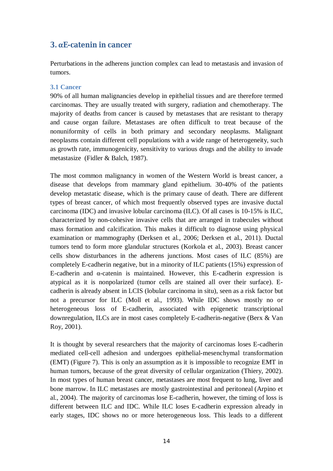# **3. αE-catenin in cancer**

Perturbations in the adherens junction complex can lead to metastasis and invasion of tumors.

#### **3.1 Cancer**

90% of all human malignancies develop in epithelial tissues and are therefore termed carcinomas. They are usually treated with surgery, radiation and chemotherapy. The majority of deaths from cancer is caused by metastases that are resistant to therapy and cause organ failure. Metastases are often difficult to treat because of the nonuniformity of cells in both primary and secondary neoplasms. Malignant neoplasms contain different cell populations with a wide range of heterogeneity, such as growth rate, immunogenicity, sensitivity to various drugs and the ability to invade metastasize (Fidler & Balch, 1987).

The most common malignancy in women of the Western World is breast cancer, a disease that develops from mammary gland epithelium. 30-40% of the patients develop metastatic disease, which is the primary cause of death. There are different types of breast cancer, of which most frequently observed types are invasive ductal carcinoma (IDC) and invasive lobular carcinoma (ILC). Of all cases is 10-15% is ILC, characterized by non-cohesive invasive cells that are arranged in trabecules without mass formation and calcification. This makes it difficult to diagnose using physical examination or mammography (Derksen et al., 2006; Derksen et al., 2011). Ductal tumors tend to form more glandular structures (Korkola et al., 2003). Breast cancer cells show disturbances in the adherens junctions. Most cases of ILC (85%) are completely E-cadherin negative, but in a minority of ILC patients (15%) expression of E-cadherin and α-catenin is maintained. However, this E-cadherin expression is atypical as it is nonpolarized (tumor cells are stained all over their surface). Ecadherin is already absent in LCIS (lobular carcinoma in situ), seen as a risk factor but not a precursor for ILC (Moll et al., 1993). While IDC shows mostly no or heterogeneous loss of E-cadherin, associated with epigenetic transcriptional downregulation, ILCs are in most cases completely E-cadherin-negative (Berx & Van Roy, 2001).

It is thought by several researchers that the majority of carcinomas loses E-cadherin mediated cell-cell adhesion and undergoes epithelial-mesenchymal transformation (EMT) (Figure 7). This is only an assumption as it is impossible to recognize EMT in human tumors, because of the great diversity of cellular organization (Thiery, 2002). In most types of human breast cancer, metastases are most frequent to lung, liver and bone marrow. In ILC metastases are mostly gastrointestinal and peritoneal (Arpino et al., 2004). The majority of carcinomas lose E-cadherin, however, the timing of loss is different between ILC and IDC. While ILC loses E-cadherin expression already in early stages, IDC shows no or more heterogeneous loss. This leads to a different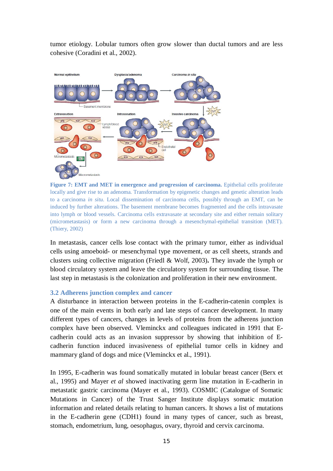tumor etiology. Lobular tumors often grow slower than ductal tumors and are less cohesive (Coradini et al., 2002).



**Figure 7: EMT and MET in emergence and progression of carcinoma.** Epithelial cells proliferate locally and give rise to an adenoma. Transformation by epigenetic changes and genetic alteration leads to a carcinoma *in situ*. Local dissemination of carcinoma cells, possibly through an EMT, can be induced by further alterations. The basement membrane becomes fragmented and the cells intravasate into lymph or blood vessels. Carcinoma cells extravasate at secondary site and either remain solitary (micrometastasis) or form a new carcinoma through a mesenchymal-epithelial transition (MET). (Thiery, 2002)

In metastasis, cancer cells lose contact with the primary tumor, either as individual cells using amoeboid- or mesenchymal type movement, or as cell sheets, strands and clusters using collective migration (Friedl & Wolf, 2003)**.** They invade the lymph or blood circulatory system and leave the circulatory system for surrounding tissue. The last step in metastasis is the colonization and proliferation in their new environment.

#### **3.2 Adherens junction complex and cancer**

A disturbance in interaction between proteins in the E-cadherin-catenin complex is one of the main events in both early and late steps of cancer development. In many different types of cancers, changes in levels of proteins from the adherens junction complex have been observed. Vleminckx and colleagues indicated in 1991 that Ecadherin could acts as an invasion suppressor by showing that inhibition of Ecadherin function induced invasiveness of epithelial tumor cells in kidney and mammary gland of dogs and mice (Vleminckx et al., 1991).

In 1995, E-cadherin was found somatically mutated in lobular breast cancer (Berx et al., 1995) and Mayer *et al* showed inactivating germ line mutation in E-cadherin in metastatic gastric carcinoma (Mayer et al., 1993). COSMIC (Catalogue of Somatic Mutations in Cancer) of the Trust Sanger Institute displays somatic mutation information and related details relating to human cancers. It shows a list of mutations in the E-cadherin gene (CDH1) found in many types of cancer, such as breast, stomach, endometrium, lung, oesophagus, ovary, thyroid and cervix carcinoma.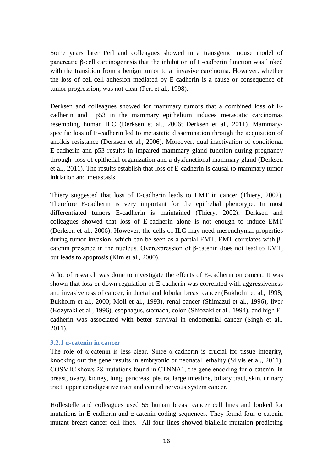Some years later Perl and colleagues showed in a transgenic mouse model of pancreatic β-cell carcinogenesis that the inhibition of E-cadherin function was linked with the transition from a benign tumor to a invasive carcinoma. However, whether the loss of cell-cell adhesion mediated by E-cadherin is a cause or consequence of tumor progression, was not clear (Perl et al., 1998).

Derksen and colleagues showed for mammary tumors that a combined loss of Ecadherin and p53 in the mammary epithelium induces metastatic carcinomas resembling human ILC (Derksen et al., 2006; Derksen et al., 2011). Mammaryspecific loss of E-cadherin led to metastatic dissemination through the acquisition of anoikis resistance (Derksen et al., 2006). Moreover, dual inactivation of conditional E-cadherin and p53 results in impaired mammary gland function during pregnancy through loss of epithelial organization and a dysfunctional mammary gland (Derksen et al., 2011). The results establish that loss of E-cadherin is causal to mammary tumor initiation and metastasis.

Thiery suggested that loss of E-cadherin leads to EMT in cancer (Thiery, 2002). Therefore E-cadherin is very important for the epithelial phenotype. In most differentiated tumors E-cadherin is maintained (Thiery, 2002). Derksen and colleagues showed that loss of E-cadherin alone is not enough to induce EMT (Derksen et al., 2006). However, the cells of ILC may need mesenchymal properties during tumor invasion, which can be seen as a partial EMT. EMT correlates with βcatenin presence in the nucleus. Overexpression of β-catenin does not lead to EMT, but leads to apoptosis (Kim et al., 2000).

A lot of research was done to investigate the effects of E-cadherin on cancer. It was shown that loss or down regulation of E-cadherin was correlated with aggressiveness and invasiveness of cancer, in ductal and lobular breast cancer (Bukholm et al., 1998; Bukholm et al., 2000; Moll et al., 1993), renal cancer (Shimazui et al., 1996), liver (Kozyraki et al., 1996), esophagus, stomach, colon (Shiozaki et al., 1994), and high Ecadherin was associated with better survival in endometrial cancer (Singh et al., 2011).

#### **3.2.1 α-catenin in cancer**

The role of  $\alpha$ -catenin is less clear. Since  $\alpha$ -cadherin is crucial for tissue integrity, knocking out the gene results in embryonic or neonatal lethality (Silvis et al., 2011). COSMIC shows 28 mutations found in CTNNA1, the gene encoding for α-catenin, in breast, ovary, kidney, lung, pancreas, pleura, large intestine, biliary tract, skin, urinary tract, upper aerodigestive tract and central nervous system cancer.

Hollestelle and colleagues used 55 human breast cancer cell lines and looked for mutations in E-cadherin and  $\alpha$ -catenin coding sequences. They found four  $\alpha$ -catenin mutant breast cancer cell lines. All four lines showed biallelic mutation predicting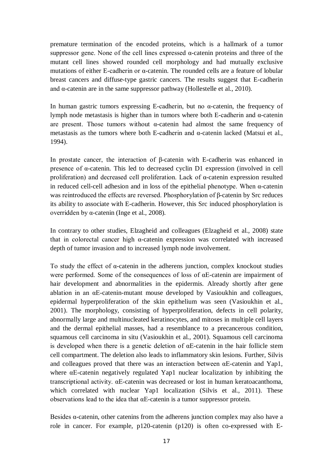premature termination of the encoded proteins, which is a hallmark of a tumor suppressor gene. None of the cell lines expressed α-catenin proteins and three of the mutant cell lines showed rounded cell morphology and had mutually exclusive mutations of either E-cadherin or α-catenin. The rounded cells are a feature of lobular breast cancers and diffuse-type gastric cancers. The results suggest that E-cadherin and  $\alpha$ -catenin are in the same suppressor pathway (Hollestelle et al., 2010).

In human gastric tumors expressing E-cadherin, but no  $\alpha$ -catenin, the frequency of lymph node metastasis is higher than in tumors where both E-cadherin and α-catenin are present. Those tumors without  $\alpha$ -catenin had almost the same frequency of metastasis as the tumors where both E-cadherin and α-catenin lacked (Matsui et al., 1994).

In prostate cancer, the interaction of β-catenin with E-cadherin was enhanced in presence of α-catenin. This led to decreased cyclin D1 expression (involved in cell proliferation) and decreased cell proliferation. Lack of α-catenin expression resulted in reduced cell-cell adhesion and in loss of the epithelial phenotype. When α-catenin was reintroduced the effects are reversed. Phosphorylation of β-catenin by Src reduces its ability to associate with E-cadherin. However, this Src induced phosphorylation is overridden by α-catenin (Inge et al., 2008).

In contrary to other studies, Elzagheid and colleagues (Elzagheid et al., 2008) state that in colorectal cancer high α-catenin expression was correlated with increased depth of tumor invasion and to increased lymph node involvement.

To study the effect of α-catenin in the adherens junction, complex knockout studies were performed. Some of the consequences of loss of αE-catenin are impairment of hair development and abnormalities in the epidermis. Already shortly after gene ablation in an αE-catenin-mutant mouse developed by Vasioukhin and colleagues, epidermal hyperproliferation of the skin epithelium was seen (Vasioukhin et al., 2001). The morphology, consisting of hyperproliferation, defects in cell polarity, abnormally large and multinucleated keratinocytes, and mitoses in multiple cell layers and the dermal epithelial masses, had a resemblance to a precancerous condition, squamous cell carcinoma in situ (Vasioukhin et al., 2001). Squamous cell carcinoma is developed when there is a genetic deletion of αE-catenin in the hair follicle stem cell compartment. The deletion also leads to inflammatory skin lesions. Further, Silvis and colleagues proved that there was an interaction between αE-catenin and Yap1, where αE-catenin negatively regulated Yap1 nuclear localization by inhibiting the transcriptional activity. αE-catenin was decreased or lost in human keratoacanthoma, which correlated with nuclear Yap1 localization (Silvis et al., 2011). These observations lead to the idea that αE-catenin is a tumor suppressor protein.

Besides α-catenin, other catenins from the adherens junction complex may also have a role in cancer. For example, p120-catenin (p120) is often co-expressed with E-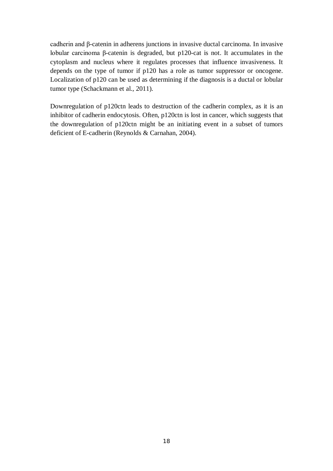cadherin and β-catenin in adherens junctions in invasive ductal carcinoma. In invasive lobular carcinoma β-catenin is degraded, but p120-cat is not. It accumulates in the cytoplasm and nucleus where it regulates processes that influence invasiveness. It depends on the type of tumor if p120 has a role as tumor suppressor or oncogene. Localization of p120 can be used as determining if the diagnosis is a ductal or lobular tumor type (Schackmann et al., 2011).

Downregulation of p120ctn leads to destruction of the cadherin complex, as it is an inhibitor of cadherin endocytosis. Often, p120ctn is lost in cancer, which suggests that the downregulation of p120ctn might be an initiating event in a subset of tumors deficient of E-cadherin (Reynolds & Carnahan, 2004).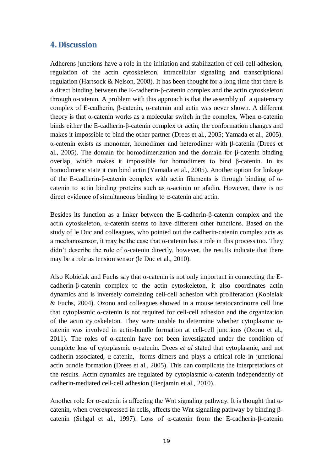## **4. Discussion**

Adherens junctions have a role in the initiation and stabilization of cell-cell adhesion, regulation of the actin cytoskeleton, intracellular signaling and transcriptional regulation (Hartsock & Nelson, 2008). It has been thought for a long time that there is a direct binding between the E-cadherin-β-catenin complex and the actin cytoskeleton through α-catenin. A problem with this approach is that the assembly of a quaternary complex of E-cadherin, β-catenin, α-catenin and actin was never shown. A different theory is that  $\alpha$ -catenin works as a molecular switch in the complex. When  $\alpha$ -catenin binds either the E-cadherin-β-catenin complex or actin, the conformation changes and makes it impossible to bind the other partner (Drees et al., 2005; Yamada et al., 2005). α-catenin exists as monomer, homodimer and heterodimer with β-catenin (Drees et al., 2005). The domain for homodimerization and the domain for β-catenin binding overlap, which makes it impossible for homodimers to bind β-catenin. In its homodimeric state it can bind actin (Yamada et al., 2005). Another option for linkage of the E-cadherin-β-catenin complex with actin filaments is through binding of αcatenin to actin binding proteins such as  $\alpha$ -actinin or afadin. However, there is no direct evidence of simultaneous binding to α-catenin and actin.

Besides its function as a linker between the E-cadherin-β-catenin complex and the actin cytoskeleton, α-catenin seems to have different other functions. Based on the study of le Duc and colleagues, who pointed out the cadherin-catenin complex acts as a mechanosensor, it may be the case that α-catenin has a role in this process too. They didn't describe the role of α-catenin directly, however, the results indicate that there may be a role as tension sensor (le Duc et al., 2010).

Also Kobielak and Fuchs say that  $\alpha$ -catenin is not only important in connecting the Ecadherin-β-catenin complex to the actin cytoskeleton, it also coordinates actin dynamics and is inversely correlating cell-cell adhesion with proliferation (Kobielak & Fuchs, 2004). Ozono and colleagues showed in a mouse teratocarcinoma cell line that cytoplasmic α-catenin is not required for cell-cell adhesion and the organization of the actin cytoskeleton. They were unable to determine whether cytoplasmic αcatenin was involved in actin-bundle formation at cell-cell junctions (Ozono et al., 2011). The roles of  $\alpha$ -catenin have not been investigated under the condition of complete loss of cytoplasmic α-catenin. Drees *et al* stated that cytoplasmic, and not cadherin-associated,  $\alpha$ -catenin, forms dimers and plays a critical role in junctional actin bundle formation (Drees et al., 2005). This can complicate the interpretations of the results. Actin dynamics are regulated by cytoplasmic α-catenin independently of cadherin-mediated cell-cell adhesion (Benjamin et al., 2010).

Another role for  $\alpha$ -catenin is affecting the Wnt signaling pathway. It is thought that  $\alpha$ catenin, when overexpressed in cells, affects the Wnt signaling pathway by binding βcatenin (Sehgal et al., 1997). Loss of α-catenin from the E-cadherin-β-catenin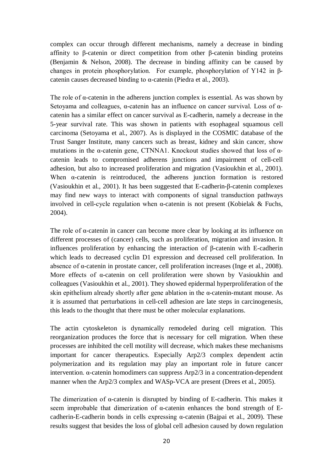complex can occur through different mechanisms, namely a decrease in binding affinity to β-catenin or direct competition from other β-catenin binding proteins (Benjamin & Nelson, 2008). The decrease in binding affinity can be caused by changes in protein phosphorylation. For example, phosphorylation of Y142 in βcatenin causes decreased binding to  $\alpha$ -catenin (Piedra et al., 2003).

The role of α-catenin in the adherens junction complex is essential. As was shown by Setoyama and colleagues, α-catenin has an influence on cancer survival. Loss of αcatenin has a similar effect on cancer survival as E-cadherin, namely a decrease in the 5-year survival rate. This was shown in patients with esophageal squamous cell carcinoma (Setoyama et al., 2007). As is displayed in the COSMIC database of the Trust Sanger Institute, many cancers such as breast, kidney and skin cancer, show mutations in the α-catenin gene, CTNNA1. Knockout studies showed that loss of αcatenin leads to compromised adherens junctions and impairment of cell-cell adhesion, but also to increased proliferation and migration (Vasioukhin et al., 2001). When α-catenin is reintroduced, the adherens junction formation is restored (Vasioukhin et al., 2001). It has been suggested that E-cadherin-β-catenin complexes may find new ways to interact with components of signal transduction pathways involved in cell-cycle regulation when α-catenin is not present (Kobielak & Fuchs, 2004).

The role of α-catenin in cancer can become more clear by looking at its influence on different processes of (cancer) cells, such as proliferation, migration and invasion. It influences proliferation by enhancing the interaction of β-catenin with E-cadherin which leads to decreased cyclin D1 expression and decreased cell proliferation. In absence of α-catenin in prostate cancer, cell proliferation increases (Inge et al., 2008). More effects of α-catenin on cell proliferation were shown by Vasioukhin and colleagues (Vasioukhin et al., 2001). They showed epidermal hyperproliferation of the skin epithelium already shortly after gene ablation in the α-catenin-mutant mouse. As it is assumed that perturbations in cell-cell adhesion are late steps in carcinogenesis, this leads to the thought that there must be other molecular explanations.

The actin cytoskeleton is dynamically remodeled during cell migration. This reorganization produces the force that is necessary for cell migration. When these processes are inhibited the cell motility will decrease, which makes these mechanisms important for cancer therapeutics. Especially Arp2/3 complex dependent actin polymerization and its regulation may play an important role in future cancer intervention. α-catenin homodimers can suppress Arp2/3 in a concentration-dependent manner when the Arp2/3 complex and WASp-VCA are present (Drees et al., 2005).

The dimerization of α-catenin is disrupted by binding of E-cadherin. This makes it seem improbable that dimerization of α-catenin enhances the bond strength of Ecadherin-E-cadherin bonds in cells expressing α-catenin (Bajpai et al., 2009). These results suggest that besides the loss of global cell adhesion caused by down regulation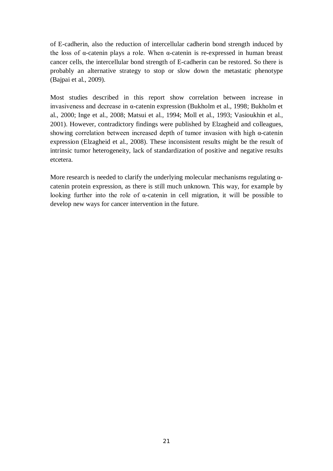of E-cadherin, also the reduction of intercellular cadherin bond strength induced by the loss of  $\alpha$ -catenin plays a role. When  $\alpha$ -catenin is re-expressed in human breast cancer cells, the intercellular bond strength of E-cadherin can be restored. So there is probably an alternative strategy to stop or slow down the metastatic phenotype (Bajpai et al., 2009).

Most studies described in this report show correlation between increase in invasiveness and decrease in α-catenin expression (Bukholm et al., 1998; Bukholm et al., 2000; Inge et al., 2008; Matsui et al., 1994; Moll et al., 1993; Vasioukhin et al., 2001). However, contradictory findings were published by Elzagheid and colleagues, showing correlation between increased depth of tumor invasion with high α-catenin expression (Elzagheid et al., 2008). These inconsistent results might be the result of intrinsic tumor heterogeneity, lack of standardization of positive and negative results etcetera.

More research is needed to clarify the underlying molecular mechanisms regulating  $\alpha$ catenin protein expression, as there is still much unknown. This way, for example by looking further into the role of α-catenin in cell migration, it will be possible to develop new ways for cancer intervention in the future.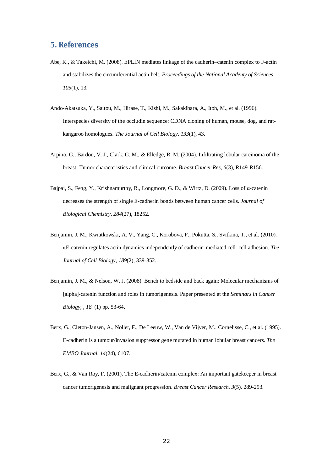#### **5. References**

- Abe, K., & Takeichi, M. (2008). EPLIN mediates linkage of the cadherin–catenin complex to F-actin and stabilizes the circumferential actin belt. *Proceedings of the National Academy of Sciences, 105*(1), 13.
- Ando-Akatsuka, Y., Saitou, M., Hirase, T., Kishi, M., Sakakibara, A., Itoh, M., et al. (1996). Interspecies diversity of the occludin sequence: CDNA cloning of human, mouse, dog, and ratkangaroo homologues. *The Journal of Cell Biology, 133*(1), 43.
- Arpino, G., Bardou, V. J., Clark, G. M., & Elledge, R. M. (2004). Infiltrating lobular carcinoma of the breast: Tumor characteristics and clinical outcome. *Breast Cancer Res, 6*(3), R149-R156.
- Bajpai, S., Feng, Y., Krishnamurthy, R., Longmore, G. D., & Wirtz, D. (2009). Loss of α-catenin decreases the strength of single E-cadherin bonds between human cancer cells. *Journal of Biological Chemistry, 284*(27), 18252.
- Benjamin, J. M., Kwiatkowski, A. V., Yang, C., Korobova, F., Pokutta, S., Svitkina, T., et al. (2010). αE-catenin regulates actin dynamics independently of cadherin-mediated cell–cell adhesion. *The Journal of Cell Biology, 189*(2), 339-352.
- Benjamin, J. M., & Nelson, W. J. (2008). Bench to bedside and back again: Molecular mechanisms of [alpha]-catenin function and roles in tumorigenesis. Paper presented at the *Seminars in Cancer Biology, , 18.* (1) pp. 53-64.
- Berx, G., Cleton-Jansen, A., Nollet, F., De Leeuw, W., Van de Vijver, M., Cornelisse, C., et al. (1995). E-cadherin is a tumour/invasion suppressor gene mutated in human lobular breast cancers. *The EMBO Journal, 14*(24), 6107.
- Berx, G., & Van Roy, F. (2001). The E-cadherin/catenin complex: An important gatekeeper in breast cancer tumorigenesis and malignant progression. *Breast Cancer Research, 3*(5), 289-293.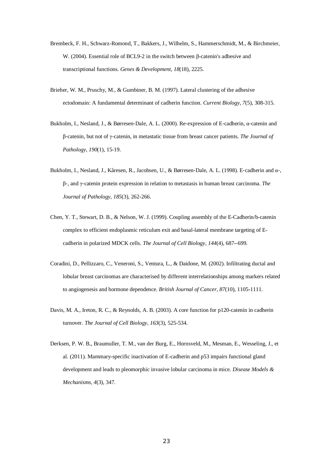- Brembeck, F. H., Schwarz-Romond, T., Bakkers, J., Wilhelm, S., Hammerschmidt, M., & Birchmeier, W. (2004). Essential role of BCL9-2 in the switch between β-catenin's adhesive and transcriptional functions. *Genes & Development, 18*(18), 2225.
- Brieher, W. M., Pruschy, M., & Gumbiner, B. M. (1997). Lateral clustering of the adhesive ectodomain: A fundamental determinant of cadherin function. *Current Biology, 7*(5), 308-315.
- Bukholm, I., Nesland, J., & Børresen‐Dale, A. L. (2000). Re‐expression of E‐cadherin, α‐catenin and β‐catenin, but not of γ‐catenin, in metastatic tissue from breast cancer patients. *The Journal of Pathology, 190*(1), 15-19.
- Bukholm, I., Nesland, J., Kåresen, R., Jacobsen, U., & Børresen‐Dale, A. L. (1998). E‐cadherin and α‐, β‐, and γ‐catenin protein expression in relation to metastasis in human breast carcinoma. *The Journal of Pathology, 185*(3), 262-266.
- Chen, Y. T., Stewart, D. B., & Nelson, W. J. (1999). Coupling assembly of the E-Cadherin/b-catenin complex to efficient endoplasmic reticulum exit and basal-lateral membrane targeting of Ecadherin in polarized MDCK cells. *The Journal of Cell Biology, 144*(4), 687--699.
- Coradini, D., Pellizzaro, C., Veneroni, S., Ventura, L., & Daidone, M. (2002). Infiltrating ductal and lobular breast carcinomas are characterised by different interrelationships among markers related to angiogenesis and hormone dependence. *British Journal of Cancer, 87*(10), 1105-1111.
- Davis, M. A., Ireton, R. C., & Reynolds, A. B. (2003). A core function for p120-catenin in cadherin turnover. *The Journal of Cell Biology, 163*(3), 525-534.
- Derksen, P. W. B., Braumuller, T. M., van der Burg, E., Hornsveld, M., Mesman, E., Wesseling, J., et al. (2011). Mammary-specific inactivation of E-cadherin and p53 impairs functional gland development and leads to pleomorphic invasive lobular carcinoma in mice. *Disease Models & Mechanisms, 4*(3), 347.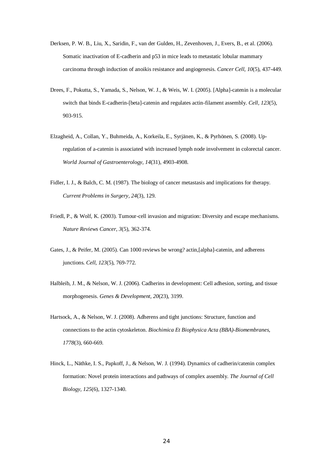- Derksen, P. W. B., Liu, X., Saridin, F., van der Gulden, H., Zevenhoven, J., Evers, B., et al. (2006). Somatic inactivation of E-cadherin and p53 in mice leads to metastatic lobular mammary carcinoma through induction of anoikis resistance and angiogenesis. *Cancer Cell, 10*(5), 437-449.
- Drees, F., Pokutta, S., Yamada, S., Nelson, W. J., & Weis, W. I. (2005). [Alpha]-catenin is a molecular switch that binds E-cadherin-[beta]-catenin and regulates actin-filament assembly. *Cell, 123*(5), 903-915.
- Elzagheid, A., Collan, Y., Buhmeida, A., Korkeila, E., Syrjänen, K., & Pyrhönen, S. (2008). Upregulation of a-catenin is associated with increased lymph node involvement in colorectal cancer. *World Journal of Gastroenterology, 14*(31), 4903-4908.
- Fidler, I. J., & Balch, C. M. (1987). The biology of cancer metastasis and implications for therapy. *Current Problems in Surgery, 24*(3), 129.
- Friedl, P., & Wolf, K. (2003). Tumour-cell invasion and migration: Diversity and escape mechanisms. *Nature Reviews Cancer, 3*(5), 362-374.
- Gates, J., & Peifer, M. (2005). Can 1000 reviews be wrong? actin,[alpha]-catenin, and adherens junctions. *Cell, 123*(5), 769-772.
- Halbleib, J. M., & Nelson, W. J. (2006). Cadherins in development: Cell adhesion, sorting, and tissue morphogenesis. *Genes & Development, 20*(23), 3199.
- Hartsock, A., & Nelson, W. J. (2008). Adherens and tight junctions: Structure, function and connections to the actin cytoskeleton. *Biochimica Et Biophysica Acta (BBA)-Biomembranes, 1778*(3), 660-669.
- Hinck, L., Näthke, I. S., Papkoff, J., & Nelson, W. J. (1994). Dynamics of cadherin/catenin complex formation: Novel protein interactions and pathways of complex assembly. *The Journal of Cell Biology, 125*(6), 1327-1340.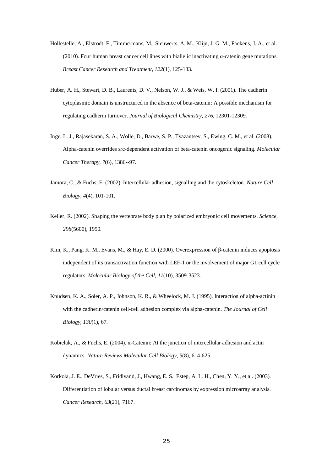- Hollestelle, A., Elstrodt, F., Timmermans, M., Sieuwerts, A. M., Klijn, J. G. M., Foekens, J. A., et al. (2010). Four human breast cancer cell lines with biallelic inactivating  $\alpha$ -catenin gene mutations. *Breast Cancer Research and Treatment, 122*(1), 125-133.
- Huber, A. H., Stewart, D. B., Laurents, D. V., Nelson, W. J., & Weis, W. I. (2001). The cadherin cytoplasmic domain is unstructured in the absence of beta-catenin: A possible mechanism for regulating cadherin turnover. *Journal of Biological Chemistry, 276*, 12301-12309.
- Inge, L. J., Rajasekaran, S. A., Wolle, D., Barwe, S. P., Tyazantsev, S., Ewing, C. M., et al. (2008). Alpha-catenin overrides src-dependent activation of beta-catenin oncogenic signaling. *Molecular Cancer Therapy, 7*(6), 1386--97.
- Jamora, C., & Fuchs, E. (2002). Intercellular adhesion, signalling and the cytoskeleton. *Nature Cell Biology, 4*(4), 101-101.
- Keller, R. (2002). Shaping the vertebrate body plan by polarized embryonic cell movements. *Science, 298*(5600), 1950.
- Kim, K., Pang, K. M., Evans, M., & Hay, E. D. (2000). Overexpression of β-catenin induces apoptosis independent of its transactivation function with LEF-1 or the involvement of major G1 cell cycle regulators. *Molecular Biology of the Cell, 11*(10), 3509-3523.
- Knudsen, K. A., Soler, A. P., Johnson, K. R., & Wheelock, M. J. (1995). Interaction of alpha-actinin with the cadherin/catenin cell-cell adhesion complex via alpha-catenin. *The Journal of Cell Biology, 130*(1), 67.
- Kobielak, A., & Fuchs, E. (2004). α-Catenin: At the junction of intercellular adhesion and actin dynamics. *Nature Reviews Molecular Cell Biology, 5*(8), 614-625.
- Korkola, J. E., DeVries, S., Fridlyand, J., Hwang, E. S., Estep, A. L. H., Chen, Y. Y., et al. (2003). Differentiation of lobular versus ductal breast carcinomas by expression microarray analysis. *Cancer Research, 63*(21), 7167.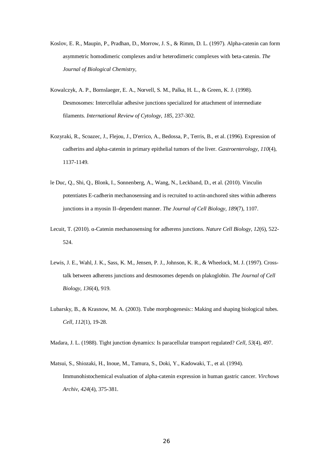- Koslov, E. R., Maupin, P., Pradhan, D., Morrow, J. S., & Rimm, D. L. (1997). Alpha-catenin can form asymmetric homodimeric complexes and/or heterodimeric complexes with beta-catenin. *The Journal of Biological Chemistry,*
- Kowalczyk, A. P., Bornslaeger, E. A., Norvell, S. M., Palka, H. L., & Green, K. J. (1998). Desmosomes: Intercellular adhesive junctions specialized for attachment of intermediate filaments. *International Review of Cytology, 185*, 237-302.
- Kozyraki, R., Scoazec, J., Flejou, J., D'errico, A., Bedossa, P., Terris, B., et al. (1996). Expression of cadherins and alpha-catenin in primary epithelial tumors of the liver. *Gastroenterology, 110*(4), 1137-1149.
- le Duc, Q., Shi, Q., Blonk, I., Sonnenberg, A., Wang, N., Leckband, D., et al. (2010). Vinculin potentiates E-cadherin mechanosensing and is recruited to actin-anchored sites within adherens junctions in a myosin II–dependent manner. *The Journal of Cell Biology, 189*(7), 1107.
- Lecuit, T. (2010). α-Catenin mechanosensing for adherens junctions. *Nature Cell Biology, 12*(6), 522- 524.
- Lewis, J. E., Wahl, J. K., Sass, K. M., Jensen, P. J., Johnson, K. R., & Wheelock, M. J. (1997). Crosstalk between adherens junctions and desmosomes depends on plakoglobin. *The Journal of Cell Biology, 136*(4), 919.
- Lubarsky, B., & Krasnow, M. A. (2003). Tube morphogenesis:: Making and shaping biological tubes. *Cell, 112*(1), 19-28.

Madara, J. L. (1988). Tight junction dynamics: Is paracellular transport regulated? *Cell, 53*(4), 497.

Matsui, S., Shiozaki, H., Inoue, M., Tamura, S., Doki, Y., Kadowaki, T., et al. (1994). Immunohistochemical evaluation of alpha-catenin expression in human gastric cancer. *Virchows Archiv, 424*(4), 375-381.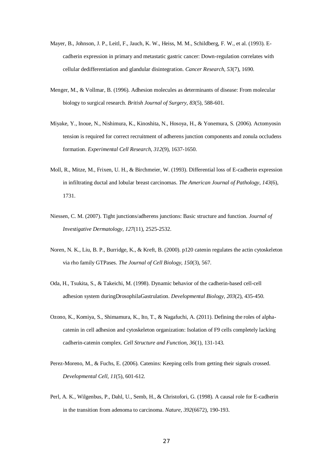- Mayer, B., Johnson, J. P., Leitl, F., Jauch, K. W., Heiss, M. M., Schildberg, F. W., et al. (1993). Ecadherin expression in primary and metastatic gastric cancer: Down-regulation correlates with cellular dedifferentiation and glandular disintegration. *Cancer Research, 53*(7), 1690.
- Menger, M., & Vollmar, B. (1996). Adhesion molecules as determinants of disease: From molecular biology to surgical research. *British Journal of Surgery, 83*(5), 588-601.
- Miyake, Y., Inoue, N., Nishimura, K., Kinoshita, N., Hosoya, H., & Yonemura, S. (2006). Actomyosin tension is required for correct recruitment of adherens junction components and zonula occludens formation. *Experimental Cell Research, 312*(9), 1637-1650.
- Moll, R., Mitze, M., Frixen, U. H., & Birchmeier, W. (1993). Differential loss of E-cadherin expression in infiltrating ductal and lobular breast carcinomas. *The American Journal of Pathology, 143*(6), 1731.
- Niessen, C. M. (2007). Tight junctions/adherens junctions: Basic structure and function. *Journal of Investigative Dermatology, 127*(11), 2525-2532.
- Noren, N. K., Liu, B. P., Burridge, K., & Kreft, B. (2000). p120 catenin regulates the actin cytoskeleton via rho family GTPases. *The Journal of Cell Biology, 150*(3), 567.
- Oda, H., Tsukita, S., & Takeichi, M. (1998). Dynamic behavior of the cadherin-based cell-cell adhesion system duringDrosophilaGastrulation. *Developmental Biology, 203*(2), 435-450.
- Ozono, K., Komiya, S., Shimamura, K., Ito, T., & Nagafuchi, A. (2011). Defining the roles of alphacatenin in cell adhesion and cytoskeleton organization: Isolation of F9 cells completely lacking cadherin-catenin complex. *Cell Structure and Function, 36*(1), 131-143.
- Perez-Moreno, M., & Fuchs, E. (2006). Catenins: Keeping cells from getting their signals crossed. *Developmental Cell, 11*(5), 601-612.
- Perl, A. K., Wilgenbus, P., Dahl, U., Semb, H., & Christofori, G. (1998). A causal role for E-cadherin in the transition from adenoma to carcinoma. *Nature, 392*(6672), 190-193.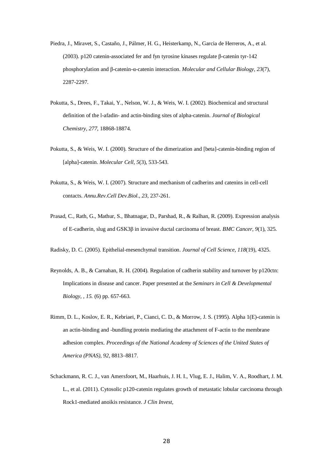- Piedra, J., Miravet, S., Castaño, J., Pálmer, H. G., Heisterkamp, N., Garcia de Herreros, A., et al. (2003). p120 catenin-associated fer and fyn tyrosine kinases regulate β-catenin tyr-142 phosphorylation and β-catenin-α-catenin interaction. *Molecular and Cellular Biology, 23*(7), 2287-2297.
- Pokutta, S., Drees, F., Takai, Y., Nelson, W. J., & Weis, W. I. (2002). Biochemical and structural definition of the l-afadin- and actin-binding sites of alpha-catenin. *Journal of Biological Chemistry, 277*, 18868-18874.
- Pokutta, S., & Weis, W. I. (2000). Structure of the dimerization and [beta]-catenin-binding region of [alpha]-catenin. *Molecular Cell, 5*(3), 533-543.
- Pokutta, S., & Weis, W. I. (2007). Structure and mechanism of cadherins and catenins in cell-cell contacts. *Annu.Rev.Cell Dev.Biol., 23*, 237-261.
- Prasad, C., Rath, G., Mathur, S., Bhatnagar, D., Parshad, R., & Ralhan, R. (2009). Expression analysis of E-cadherin, slug and GSK3β in invasive ductal carcinoma of breast. *BMC Cancer, 9*(1), 325.

Radisky, D. C. (2005). Epithelial-mesenchymal transition. *Journal of Cell Science, 118*(19), 4325.

- Reynolds, A. B., & Carnahan, R. H. (2004). Regulation of cadherin stability and turnover by p120ctn: Implications in disease and cancer. Paper presented at the *Seminars in Cell & Developmental Biology, , 15.* (6) pp. 657-663.
- Rimm, D. L., Koslov, E. R., Kebriaei, P., Cianci, C. D., & Morrow, J. S. (1995). Alpha 1(E)-catenin is an actin-binding and -bundling protein mediating the attachment of F-actin to the membrane adhesion complex. *Proceedings of the National Academy of Sciences of the United States of America (PNAS), 92*, 8813–8817.
- Schackmann, R. C. J., van Amersfoort, M., Haarhuis, J. H. I., Vlug, E. J., Halim, V. A., Roodhart, J. M. L., et al. (2011). Cytosolic p120-catenin regulates growth of metastatic lobular carcinoma through Rock1-mediated anoikis resistance. *J Clin Invest,*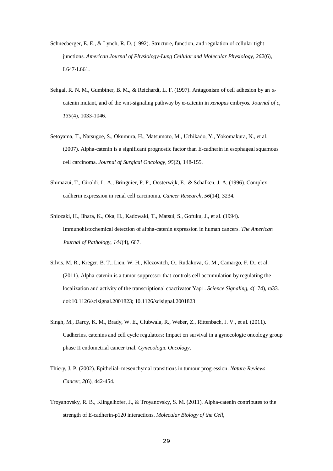- Schneeberger, E. E., & Lynch, R. D. (1992). Structure, function, and regulation of cellular tight junctions. *American Journal of Physiology-Lung Cellular and Molecular Physiology, 262*(6), L647-L661.
- Sehgal, R. N. M., Gumbiner, B. M., & Reichardt, L. F. (1997). Antagonism of cell adhesion by an αcatenin mutant, and of the wnt-signaling pathway by α-catenin in *xenopus* embryos. *Journal of c, 139*(4), 1033-1046.
- Setoyama, T., Natsugoe, S., Okumura, H., Matsumoto, M., Uchikado, Y., Yokomakura, N., et al. (2007). Alpha-catenin is a significant prognostic factor than E-cadherin in esophageal squamous cell carcinoma. *Journal of Surgical Oncology, 95*(2), 148-155.
- Shimazui, T., Giroldi, L. A., Bringuier, P. P., Oosterwijk, E., & Schalken, J. A. (1996). Complex cadherin expression in renal cell carcinoma. *Cancer Research, 56*(14), 3234.
- Shiozaki, H., Iihara, K., Oka, H., Kadowaki, T., Matsui, S., Gofuku, J., et al. (1994). Immunohistochemical detection of alpha-catenin expression in human cancers. *The American Journal of Pathology, 144*(4), 667.
- Silvis, M. R., Kreger, B. T., Lien, W. H., Klezovitch, O., Rudakova, G. M., Camargo, F. D., et al. (2011). Alpha-catenin is a tumor suppressor that controls cell accumulation by regulating the localization and activity of the transcriptional coactivator Yap1. *Science Signaling, 4*(174), ra33. doi:10.1126/scisignal.2001823; 10.1126/scisignal.2001823
- Singh, M., Darcy, K. M., Brady, W. E., Clubwala, R., Weber, Z., Rittenbach, J. V., et al. (2011). Cadherins, catenins and cell cycle regulators: Impact on survival in a gynecologic oncology group phase II endometrial cancer trial. *Gynecologic Oncology,*
- Thiery, J. P. (2002). Epithelial–mesenchymal transitions in tumour progression. *Nature Reviews Cancer, 2*(6), 442-454.
- Troyanovsky, R. B., Klingelhofer, J., & Troyanovsky, S. M. (2011). Alpha-catenin contributes to the strength of E-cadherin-p120 interactions. *Molecular Biology of the Cell,*